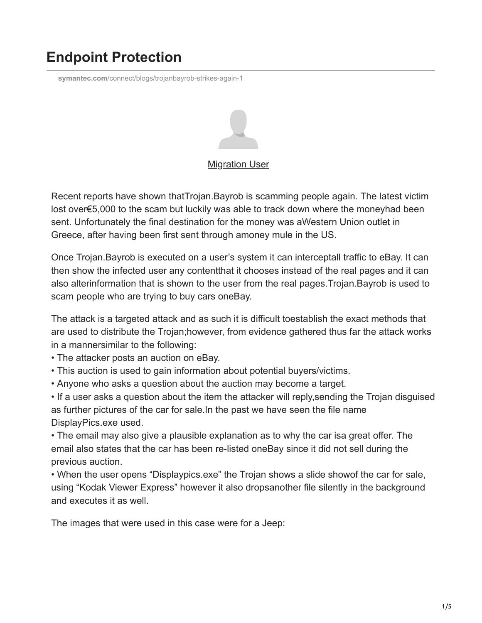## **Endpoint Protection**

**symantec.com**[/connect/blogs/trojanbayrob-strikes-again-1](https://www.symantec.com/connect/blogs/trojanbayrob-strikes-again-1)



## [Migration User](https://community.broadcom.com/symantecenterprise/network/members/profile?UserKey=909a8e41-f1e7-45af-914a-628128e3819f)

Recent reports have shown thatTrojan.Bayrob is scamming people again. The latest victim lost over€5,000 to the scam but luckily was able to track down where the moneyhad been sent. Unfortunately the final destination for the money was aWestern Union outlet in Greece, after having been first sent through amoney mule in the US.

Once Trojan.Bayrob is executed on a user's system it can interceptall traffic to eBay. It can then show the infected user any contentthat it chooses instead of the real pages and it can also alterinformation that is shown to the user from the real pages.Trojan.Bayrob is used to scam people who are trying to buy cars oneBay.

The attack is a targeted attack and as such it is difficult toestablish the exact methods that are used to distribute the Trojan;however, from evidence gathered thus far the attack works in a mannersimilar to the following:

- The attacker posts an auction on eBay.
- This auction is used to gain information about potential buyers/victims.
- Anyone who asks a question about the auction may become a target.

• If a user asks a question about the item the attacker will reply,sending the Trojan disguised as further pictures of the car for sale.In the past we have seen the file name DisplayPics.exe used.

• The email may also give a plausible explanation as to why the car isa great offer. The email also states that the car has been re-listed oneBay since it did not sell during the previous auction.

• When the user opens "Displaypics.exe" the Trojan shows a slide showof the car for sale, using "Kodak Viewer Express" however it also dropsanother file silently in the background and executes it as well.

The images that were used in this case were for a Jeep: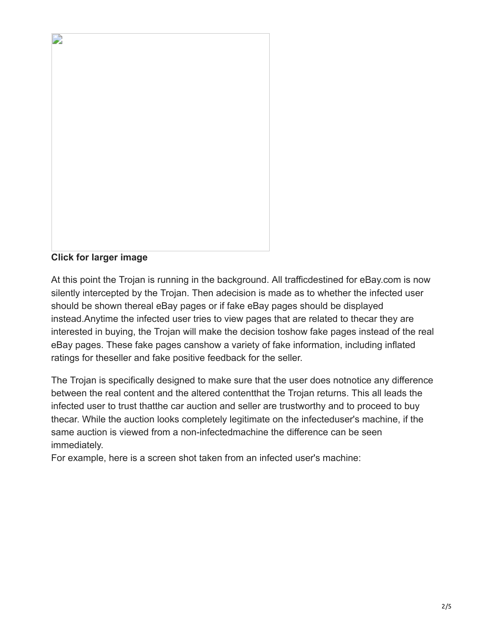

**Click for larger image**

At this point the Trojan is running in the background. All trafficdestined for eBay.com is now silently intercepted by the Trojan. Then adecision is made as to whether the infected user should be shown thereal eBay pages or if fake eBay pages should be displayed instead.Anytime the infected user tries to view pages that are related to thecar they are interested in buying, the Trojan will make the decision toshow fake pages instead of the real eBay pages. These fake pages canshow a variety of fake information, including inflated ratings for theseller and fake positive feedback for the seller.

The Trojan is specifically designed to make sure that the user does notnotice any difference between the real content and the altered contentthat the Trojan returns. This all leads the infected user to trust thatthe car auction and seller are trustworthy and to proceed to buy thecar. While the auction looks completely legitimate on the infecteduser's machine, if the same auction is viewed from a non-infectedmachine the difference can be seen immediately.

For example, here is a screen shot taken from an infected user's machine: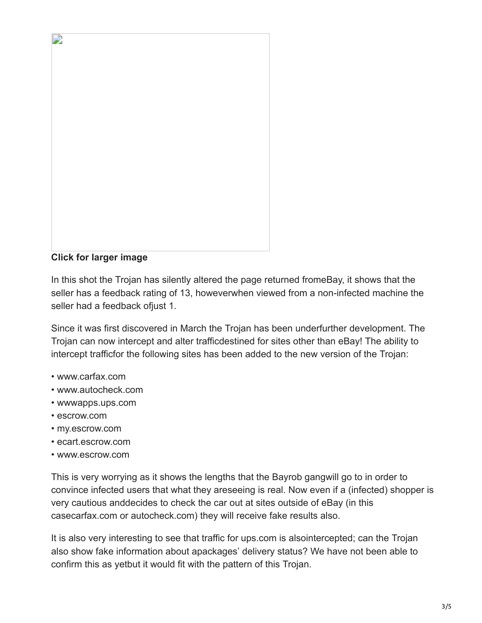

**Click for larger image**

In this shot the Trojan has silently altered the page returned fromeBay, it shows that the seller has a feedback rating of 13, howeverwhen viewed from a non-infected machine the seller had a feedback ofjust 1.

Since it was first discovered in March the Trojan has been underfurther development. The Trojan can now intercept and alter trafficdestined for sites other than eBay! The ability to intercept trafficfor the following sites has been added to the new version of the Trojan:

- www.carfax.com
- www.autocheck.com
- wwwapps.ups.com
- escrow.com
- my.escrow.com
- ecart.escrow.com
- www.escrow.com

This is very worrying as it shows the lengths that the Bayrob gangwill go to in order to convince infected users that what they areseeing is real. Now even if a (infected) shopper is very cautious anddecides to check the car out at sites outside of eBay (in this casecarfax.com or autocheck.com) they will receive fake results also.

It is also very interesting to see that traffic for ups.com is alsointercepted; can the Trojan also show fake information about apackages' delivery status? We have not been able to confirm this as yetbut it would fit with the pattern of this Trojan.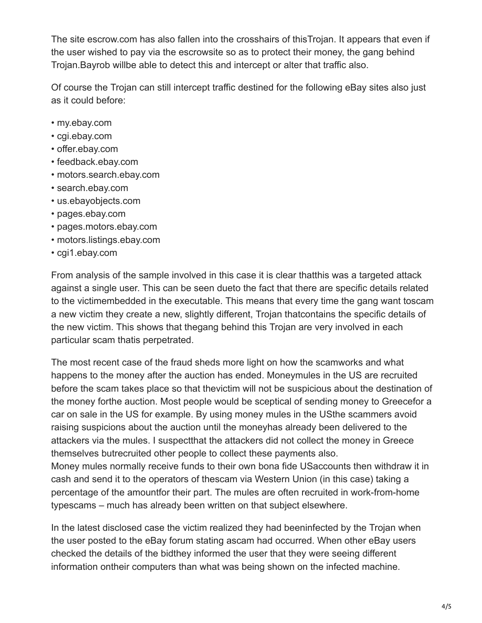The site escrow.com has also fallen into the crosshairs of thisTrojan. It appears that even if the user wished to pay via the escrowsite so as to protect their money, the gang behind Trojan.Bayrob willbe able to detect this and intercept or alter that traffic also.

Of course the Trojan can still intercept traffic destined for the following eBay sites also just as it could before:

- my.ebay.com
- cgi.ebay.com
- offer.ebay.com
- feedback.ebay.com
- motors.search.ebay.com
- search.ebay.com
- us.ebayobjects.com
- pages.ebay.com
- pages.motors.ebay.com
- motors.listings.ebay.com
- cgi1.ebay.com

From analysis of the sample involved in this case it is clear thatthis was a targeted attack against a single user. This can be seen dueto the fact that there are specific details related to the victimembedded in the executable. This means that every time the gang want toscam a new victim they create a new, slightly different, Trojan thatcontains the specific details of the new victim. This shows that thegang behind this Trojan are very involved in each particular scam thatis perpetrated.

The most recent case of the fraud sheds more light on how the scamworks and what happens to the money after the auction has ended. Moneymules in the US are recruited before the scam takes place so that thevictim will not be suspicious about the destination of the money forthe auction. Most people would be sceptical of sending money to Greecefor a car on sale in the US for example. By using money mules in the USthe scammers avoid raising suspicions about the auction until the moneyhas already been delivered to the attackers via the mules. I suspectthat the attackers did not collect the money in Greece themselves butrecruited other people to collect these payments also. Money mules normally receive funds to their own bona fide USaccounts then withdraw it in

cash and send it to the operators of thescam via Western Union (in this case) taking a percentage of the amountfor their part. The mules are often recruited in work-from-home typescams – much has already been written on that subject elsewhere.

In the latest disclosed case the victim realized they had beeninfected by the Trojan when the user posted to the eBay forum stating ascam had occurred. When other eBay users checked the details of the bidthey informed the user that they were seeing different information ontheir computers than what was being shown on the infected machine.